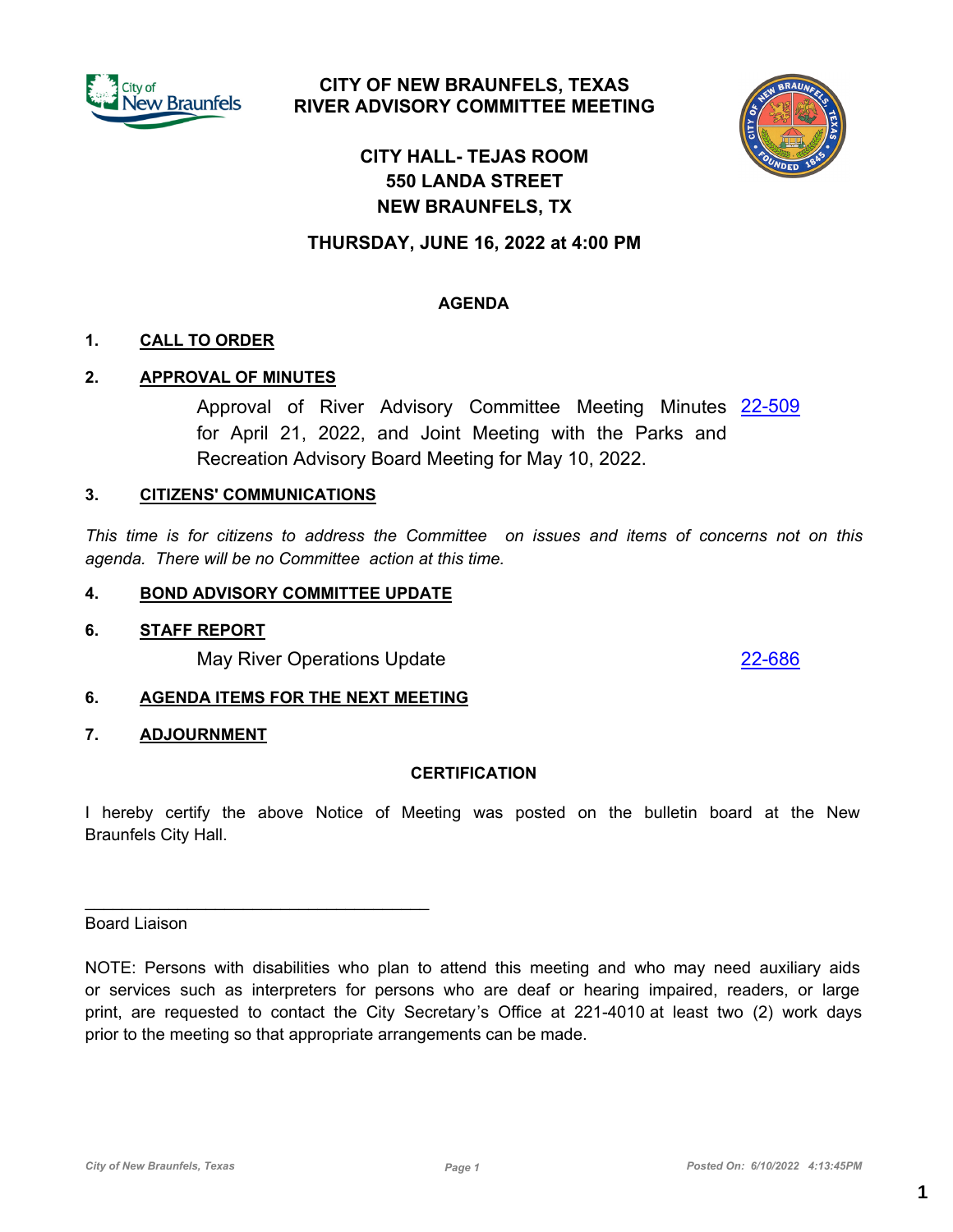

# **CITY OF NEW BRAUNFELS, TEXAS RIVER ADVISORY COMMITTEE MEETING**



# **CITY HALL- TEJAS ROOM 550 LANDA STREET NEW BRAUNFELS, TX**

# **THURSDAY, JUNE 16, 2022 at 4:00 PM**

### **AGENDA**

#### **1. CALL TO ORDER**

### **2. APPROVAL OF MINUTES**

Approval of River Advisory Committee Meeting Minutes [22-509](http://newbraunfels.legistar.com/gateway.aspx?m=l&id=/matter.aspx?key=10522) for April 21, 2022, and Joint Meeting with the Parks and Recreation Advisory Board Meeting for May 10, 2022.

#### **3. CITIZENS' COMMUNICATIONS**

*This time is for citizens to address the Committee on issues and items of concerns not on this agenda. There will be no Committee action at this time.*

#### **4. BOND ADVISORY COMMITTEE UPDATE**

#### **6. STAFF REPORT**

May River Operations Update [22-686](http://newbraunfels.legistar.com/gateway.aspx?m=l&id=/matter.aspx?key=10701)

### **6. AGENDA ITEMS FOR THE NEXT MEETING**

 $\mathcal{L}_\text{max}$  and  $\mathcal{L}_\text{max}$  and  $\mathcal{L}_\text{max}$  and  $\mathcal{L}_\text{max}$ 

#### **7. ADJOURNMENT**

#### **CERTIFICATION**

I hereby certify the above Notice of Meeting was posted on the bulletin board at the New Braunfels City Hall.

Board Liaison

NOTE: Persons with disabilities who plan to attend this meeting and who may need auxiliary aids or services such as interpreters for persons who are deaf or hearing impaired, readers, or large print, are requested to contact the City Secretary's Office at 221-4010 at least two (2) work days prior to the meeting so that appropriate arrangements can be made.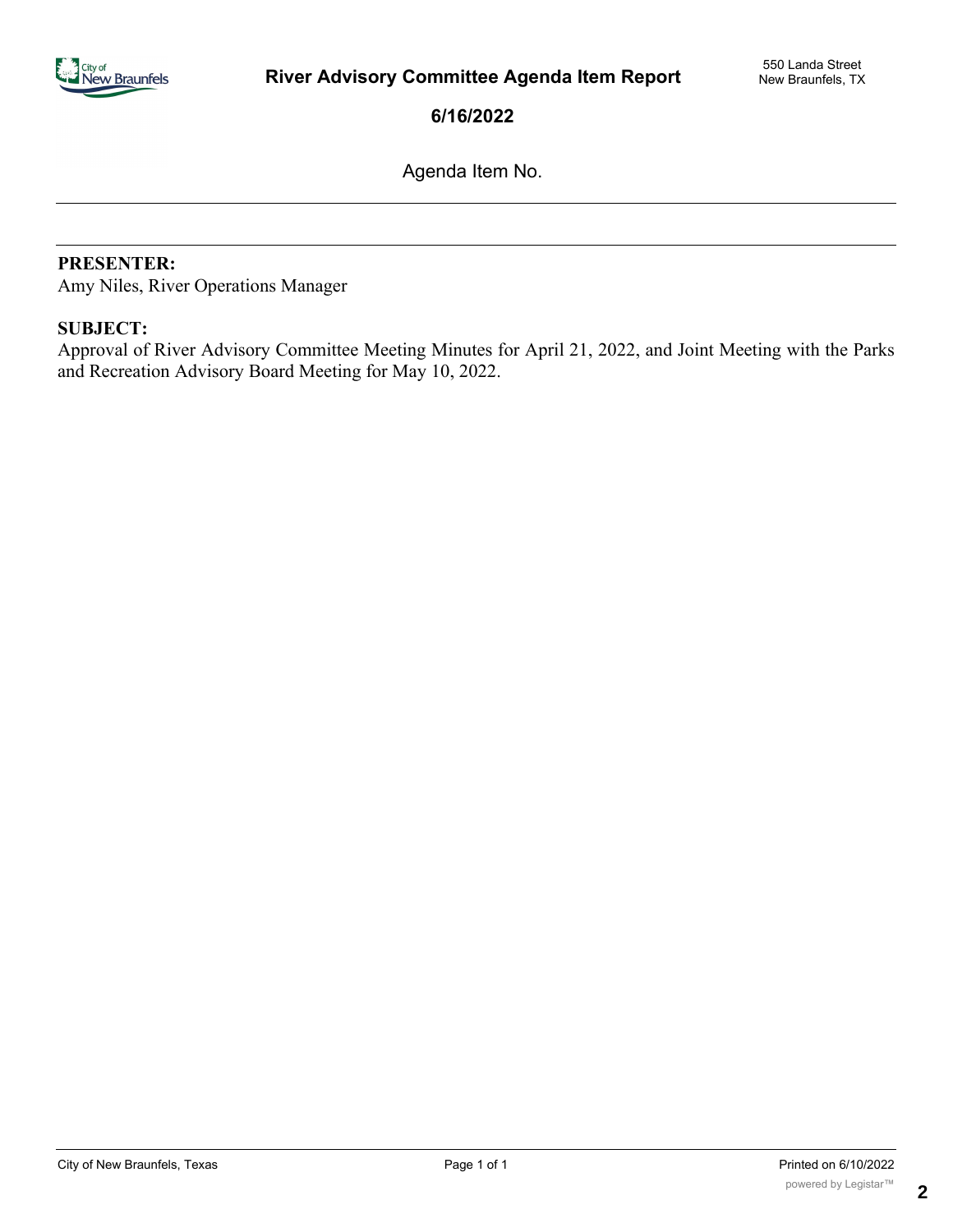

**6/16/2022**

Agenda Item No.

#### PRESENTER:

Amy Niles, River Operations Manager

### **SUBJECT:**

Approval of River Advisory Committee Meeting Minutes for April 21, 2022, and Joint Meeting with the Parks and Recreation Advisory Board Meeting for May 10, 2022.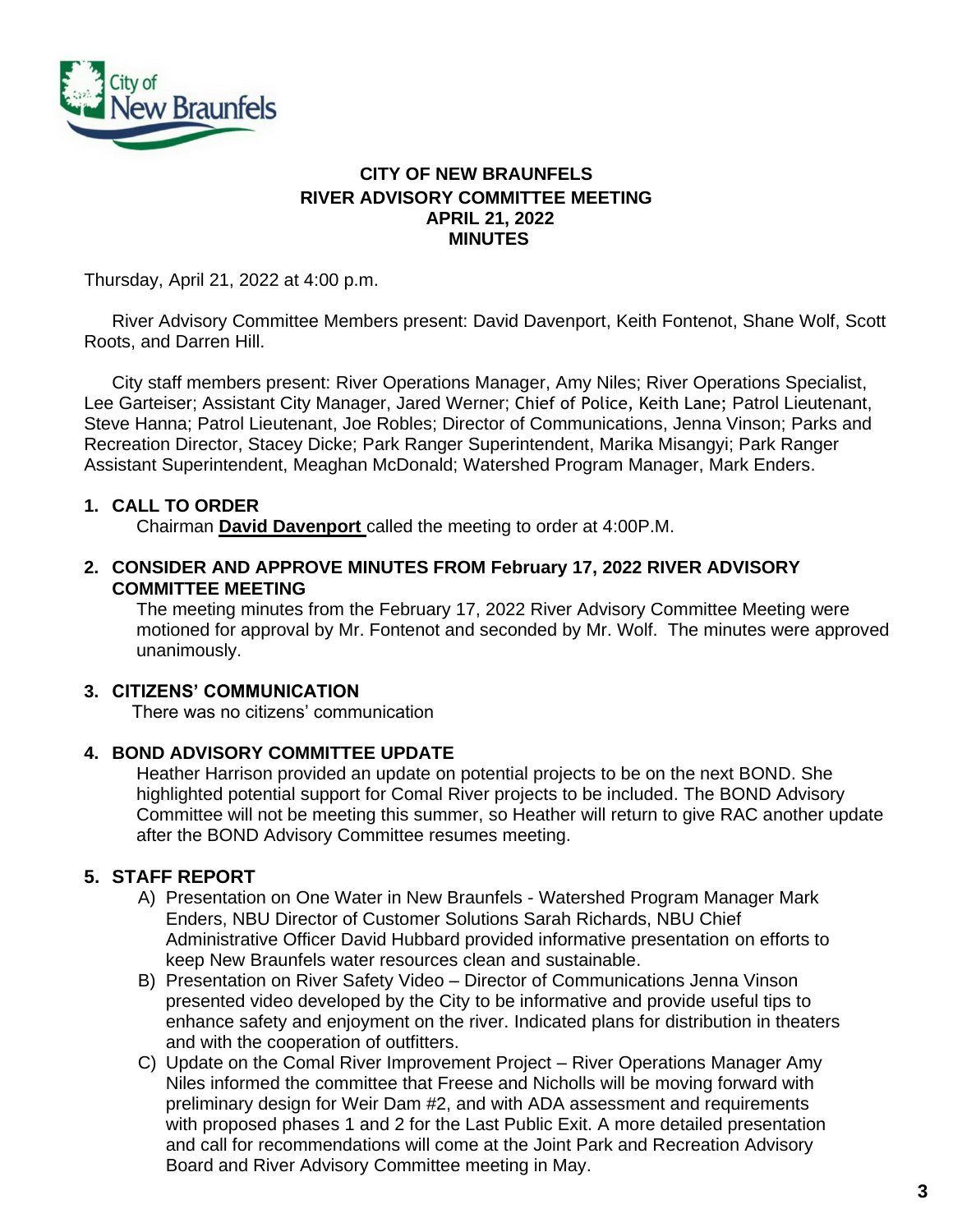

# **CITY OF NEW BRAUNFELS RIVER ADVISORY COMMITTEE MEETING APRIL 21, 2022 MINUTES**

Thursday, April 21, 2022 at 4:00 p.m.

River Advisory Committee Members present: David Davenport, Keith Fontenot, Shane Wolf, Scott Roots, and Darren Hill.

City staff members present: River Operations Manager, Amy Niles; River Operations Specialist, Lee Garteiser; Assistant City Manager, Jared Werner; Chief of Police, Keith Lane; Patrol Lieutenant, Steve Hanna; Patrol Lieutenant, Joe Robles; Director of Communications, Jenna Vinson; Parks and Recreation Director, Stacey Dicke; Park Ranger Superintendent, Marika Misangyi; Park Ranger Assistant Superintendent, Meaghan McDonald; Watershed Program Manager, Mark Enders.

# **1. CALL TO ORDER**

Chairman **David Davenport** called the meeting to order at 4:00P.M.

**2. CONSIDER AND APPROVE MINUTES FROM February 17, 2022 RIVER ADVISORY COMMITTEE MEETING**

The meeting minutes from the February 17, 2022 River Advisory Committee Meeting were motioned for approval by Mr. Fontenot and seconded by Mr. Wolf. The minutes were approved unanimously.

# **3. CITIZENS' COMMUNICATION**

There was no citizens' communication

#### **4. BOND ADVISORY COMMITTEE UPDATE**

Heather Harrison provided an update on potential projects to be on the next BOND. She highlighted potential support for Comal River projects to be included. The BOND Advisory Committee will not be meeting this summer, so Heather will return to give RAC another update after the BOND Advisory Committee resumes meeting.

# **5. STAFF REPORT**

- A) Presentation on One Water in New Braunfels Watershed Program Manager Mark Enders, NBU Director of Customer Solutions Sarah Richards, NBU Chief Administrative Officer David Hubbard provided informative presentation on efforts to keep New Braunfels water resources clean and sustainable.
- B) Presentation on River Safety Video Director of Communications Jenna Vinson presented video developed by the City to be informative and provide useful tips to enhance safety and enjoyment on the river. Indicated plans for distribution in theaters and with the cooperation of outfitters.
- C) Update on the Comal River Improvement Project River Operations Manager Amy Niles informed the committee that Freese and Nicholls will be moving forward with preliminary design for Weir Dam #2, and with ADA assessment and requirements with proposed phases 1 and 2 for the Last Public Exit. A more detailed presentation and call for recommendations will come at the Joint Park and Recreation Advisory Board and River Advisory Committee meeting in May.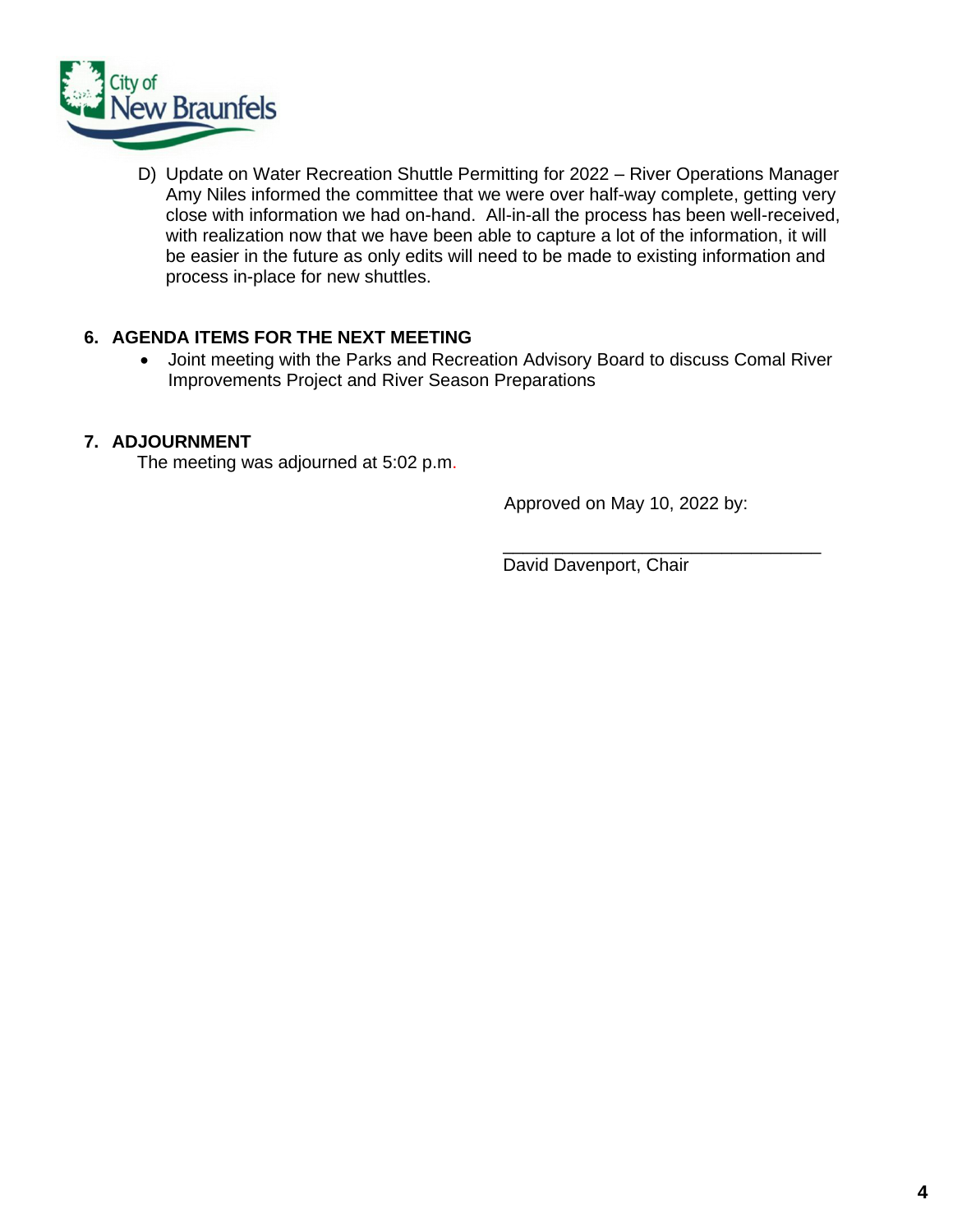

D) Update on Water Recreation Shuttle Permitting for 2022 – River Operations Manager Amy Niles informed the committee that we were over half-way complete, getting very close with information we had on-hand. All-in-all the process has been well-received, with realization now that we have been able to capture a lot of the information, it will be easier in the future as only edits will need to be made to existing information and process in-place for new shuttles.

# **6. AGENDA ITEMS FOR THE NEXT MEETING**

• Joint meeting with the Parks and Recreation Advisory Board to discuss Comal River Improvements Project and River Season Preparations

# **7. ADJOURNMENT**

The meeting was adjourned at 5:02 p.m.

Approved on May 10, 2022 by:

 $\frac{1}{\sqrt{2}}$  ,  $\frac{1}{\sqrt{2}}$  ,  $\frac{1}{\sqrt{2}}$  ,  $\frac{1}{\sqrt{2}}$  ,  $\frac{1}{\sqrt{2}}$  ,  $\frac{1}{\sqrt{2}}$  ,  $\frac{1}{\sqrt{2}}$  ,  $\frac{1}{\sqrt{2}}$  ,  $\frac{1}{\sqrt{2}}$  ,  $\frac{1}{\sqrt{2}}$  ,  $\frac{1}{\sqrt{2}}$  ,  $\frac{1}{\sqrt{2}}$  ,  $\frac{1}{\sqrt{2}}$  ,  $\frac{1}{\sqrt{2}}$  ,  $\frac{1}{\sqrt{2}}$ 

David Davenport, Chair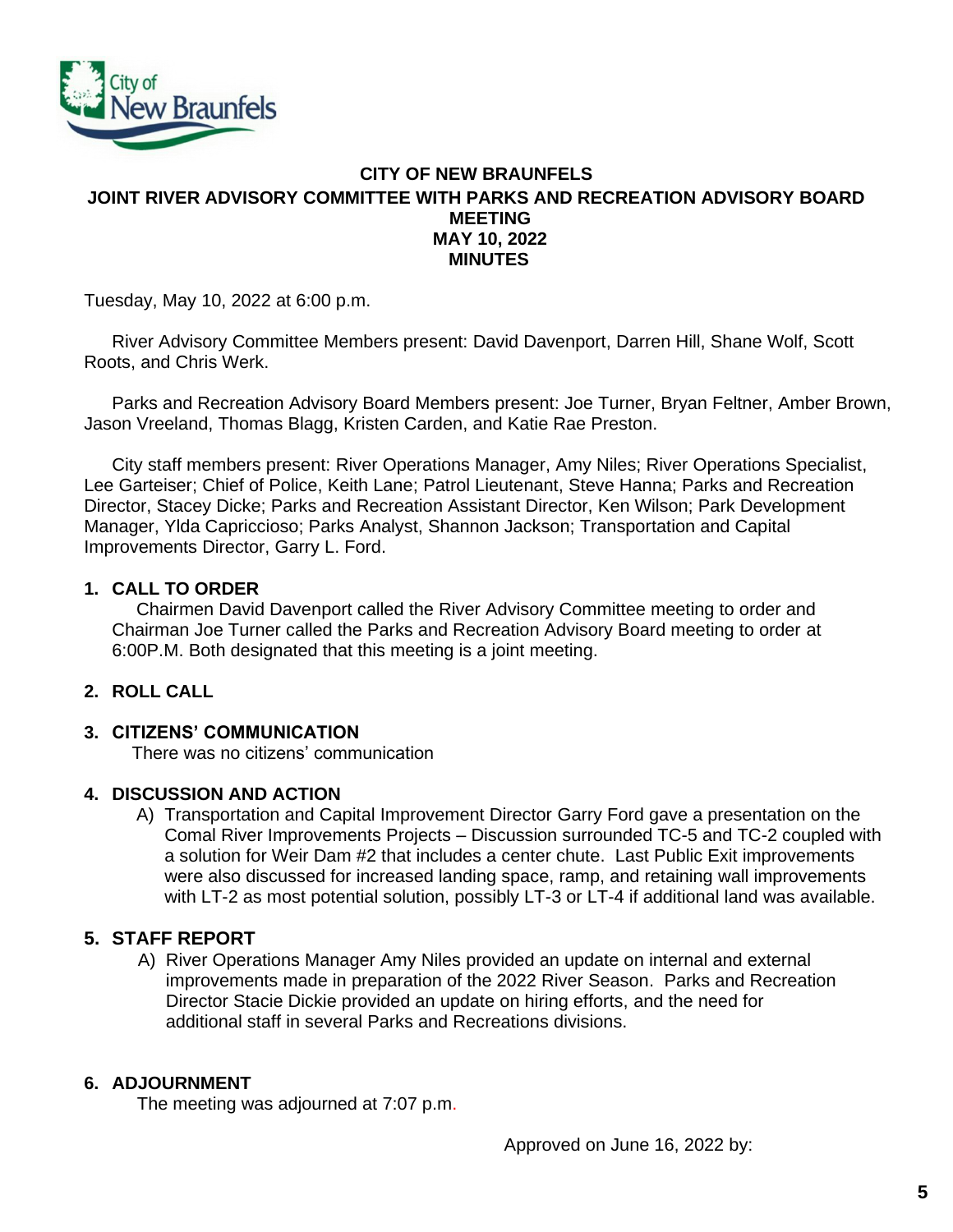

# **CITY OF NEW BRAUNFELS JOINT RIVER ADVISORY COMMITTEE WITH PARKS AND RECREATION ADVISORY BOARD MEETING MAY 10, 2022 MINUTES**

Tuesday, May 10, 2022 at 6:00 p.m.

River Advisory Committee Members present: David Davenport, Darren Hill, Shane Wolf, Scott Roots, and Chris Werk.

Parks and Recreation Advisory Board Members present: Joe Turner, Bryan Feltner, Amber Brown, Jason Vreeland, Thomas Blagg, Kristen Carden, and Katie Rae Preston.

City staff members present: River Operations Manager, Amy Niles; River Operations Specialist, Lee Garteiser; Chief of Police, Keith Lane; Patrol Lieutenant, Steve Hanna; Parks and Recreation Director, Stacey Dicke; Parks and Recreation Assistant Director, Ken Wilson; Park Development Manager, Ylda Capriccioso; Parks Analyst, Shannon Jackson; Transportation and Capital Improvements Director, Garry L. Ford.

### **1. CALL TO ORDER**

Chairmen David Davenport called the River Advisory Committee meeting to order and Chairman Joe Turner called the Parks and Recreation Advisory Board meeting to order at 6:00P.M. Both designated that this meeting is a joint meeting.

# **2. ROLL CALL**

#### **3. CITIZENS' COMMUNICATION**

There was no citizens' communication

#### **4. DISCUSSION AND ACTION**

A) Transportation and Capital Improvement Director Garry Ford gave a presentation on the Comal River Improvements Projects – Discussion surrounded TC-5 and TC-2 coupled with a solution for Weir Dam #2 that includes a center chute. Last Public Exit improvements were also discussed for increased landing space, ramp, and retaining wall improvements with LT-2 as most potential solution, possibly LT-3 or LT-4 if additional land was available.

# **5. STAFF REPORT**

A) River Operations Manager Amy Niles provided an update on internal and external improvements made in preparation of the 2022 River Season. Parks and Recreation Director Stacie Dickie provided an update on hiring efforts, and the need for additional staff in several Parks and Recreations divisions.

#### **6. ADJOURNMENT**

The meeting was adjourned at 7:07 p.m.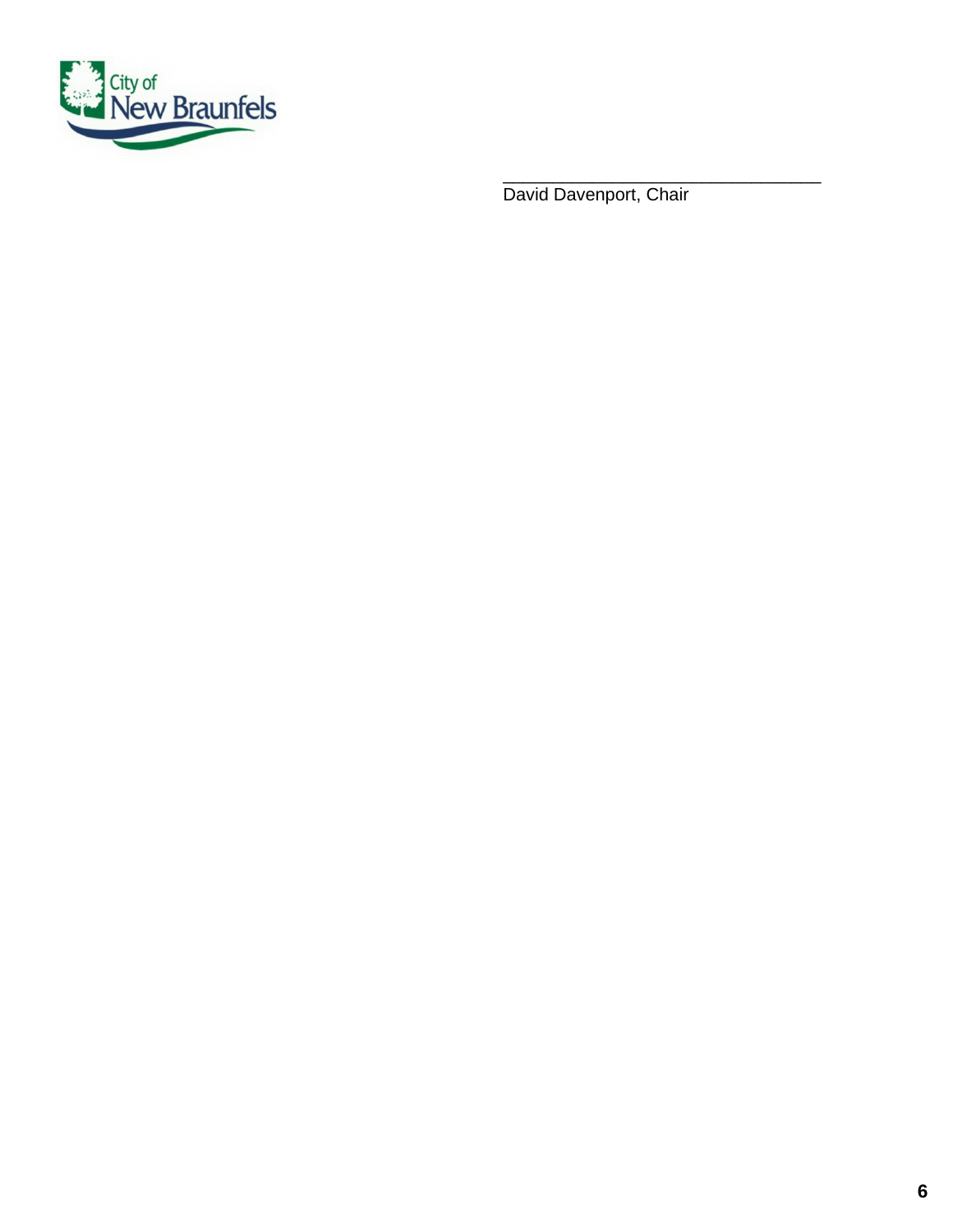

 $\overline{\phantom{a}}$  ,  $\overline{\phantom{a}}$  ,  $\overline{\phantom{a}}$  ,  $\overline{\phantom{a}}$  ,  $\overline{\phantom{a}}$  ,  $\overline{\phantom{a}}$  ,  $\overline{\phantom{a}}$  ,  $\overline{\phantom{a}}$  ,  $\overline{\phantom{a}}$  ,  $\overline{\phantom{a}}$  ,  $\overline{\phantom{a}}$  ,  $\overline{\phantom{a}}$  ,  $\overline{\phantom{a}}$  ,  $\overline{\phantom{a}}$  ,  $\overline{\phantom{a}}$  ,  $\overline{\phantom{a}}$ David Davenport, Chair